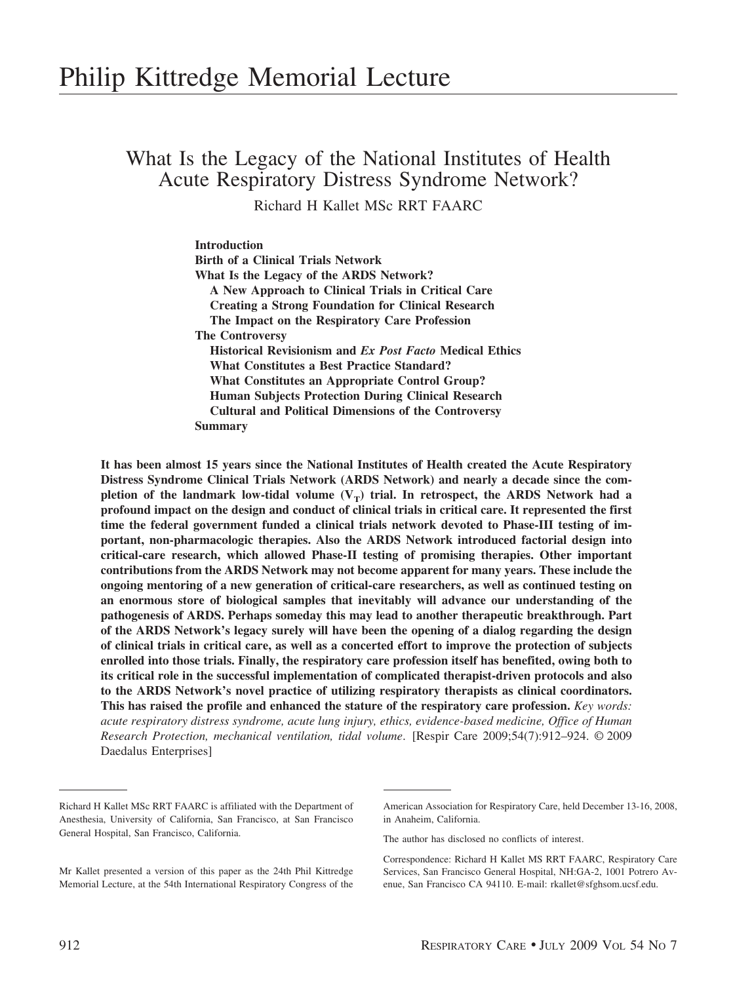# What Is the Legacy of the National Institutes of Health Acute Respiratory Distress Syndrome Network?

Richard H Kallet MSc RRT FAARC

**Introduction Birth of a Clinical Trials Network What Is the Legacy of the ARDS Network? A New Approach to Clinical Trials in Critical Care Creating a Strong Foundation for Clinical Research The Impact on the Respiratory Care Profession The Controversy Historical Revisionism and** *Ex Post Facto* **Medical Ethics What Constitutes a Best Practice Standard? What Constitutes an Appropriate Control Group? Human Subjects Protection During Clinical Research Cultural and Political Dimensions of the Controversy Summary**

**It has been almost 15 years since the National Institutes of Health created the Acute Respiratory Distress Syndrome Clinical Trials Network (ARDS Network) and nearly a decade since the com**pletion of the landmark low-tidal volume  $(V_T)$  trial. In retrospect, the ARDS Network had a **profound impact on the design and conduct of clinical trials in critical care. It represented the first time the federal government funded a clinical trials network devoted to Phase-III testing of important, non-pharmacologic therapies. Also the ARDS Network introduced factorial design into critical-care research, which allowed Phase-II testing of promising therapies. Other important contributions from the ARDS Network may not become apparent for many years. These include the ongoing mentoring of a new generation of critical-care researchers, as well as continued testing on an enormous store of biological samples that inevitably will advance our understanding of the pathogenesis of ARDS. Perhaps someday this may lead to another therapeutic breakthrough. Part of the ARDS Network's legacy surely will have been the opening of a dialog regarding the design of clinical trials in critical care, as well as a concerted effort to improve the protection of subjects enrolled into those trials. Finally, the respiratory care profession itself has benefited, owing both to its critical role in the successful implementation of complicated therapist-driven protocols and also to the ARDS Network's novel practice of utilizing respiratory therapists as clinical coordinators. This has raised the profile and enhanced the stature of the respiratory care profession.** *Key words: acute respiratory distress syndrome, acute lung injury, ethics, evidence-based medicine, Office of Human Research Protection, mechanical ventilation, tidal volume*. [Respir Care 2009;54(7):912–924. © 2009 Daedalus Enterprises]

Richard H Kallet MSc RRT FAARC is affiliated with the Department of Anesthesia, University of California, San Francisco, at San Francisco General Hospital, San Francisco, California.

Mr Kallet presented a version of this paper as the 24th Phil Kittredge Memorial Lecture, at the 54th International Respiratory Congress of the

American Association for Respiratory Care, held December 13-16, 2008, in Anaheim, California.

The author has disclosed no conflicts of interest.

Correspondence: Richard H Kallet MS RRT FAARC, Respiratory Care Services, San Francisco General Hospital, NH:GA-2, 1001 Potrero Avenue, San Francisco CA 94110. E-mail: rkallet@sfghsom.ucsf.edu.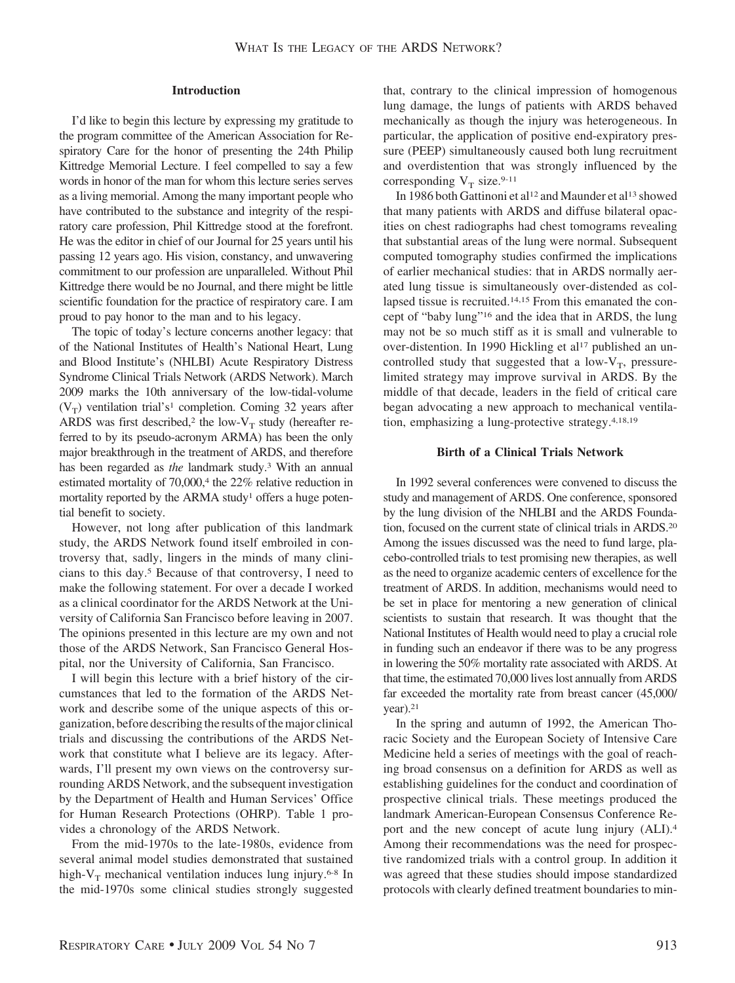#### **Introduction**

I'd like to begin this lecture by expressing my gratitude to the program committee of the American Association for Respiratory Care for the honor of presenting the 24th Philip Kittredge Memorial Lecture. I feel compelled to say a few words in honor of the man for whom this lecture series serves as a living memorial. Among the many important people who have contributed to the substance and integrity of the respiratory care profession, Phil Kittredge stood at the forefront. He was the editor in chief of our Journal for 25 years until his passing 12 years ago. His vision, constancy, and unwavering commitment to our profession are unparalleled. Without Phil Kittredge there would be no Journal, and there might be little scientific foundation for the practice of respiratory care. I am proud to pay honor to the man and to his legacy.

The topic of today's lecture concerns another legacy: that of the National Institutes of Health's National Heart, Lung and Blood Institute's (NHLBI) Acute Respiratory Distress Syndrome Clinical Trials Network (ARDS Network). March 2009 marks the 10th anniversary of the low-tidal-volume  $(V_T)$  ventilation trial's<sup>1</sup> completion. Coming 32 years after ARDS was first described,<sup>2</sup> the low- $V_T$  study (hereafter referred to by its pseudo-acronym ARMA) has been the only major breakthrough in the treatment of ARDS, and therefore has been regarded as *the* landmark study.3 With an annual estimated mortality of 70,000,<sup>4</sup> the 22% relative reduction in mortality reported by the ARMA study<sup>1</sup> offers a huge potential benefit to society.

However, not long after publication of this landmark study, the ARDS Network found itself embroiled in controversy that, sadly, lingers in the minds of many clinicians to this day.5 Because of that controversy, I need to make the following statement. For over a decade I worked as a clinical coordinator for the ARDS Network at the University of California San Francisco before leaving in 2007. The opinions presented in this lecture are my own and not those of the ARDS Network, San Francisco General Hospital, nor the University of California, San Francisco.

I will begin this lecture with a brief history of the circumstances that led to the formation of the ARDS Network and describe some of the unique aspects of this organization, before describing the results of the major clinical trials and discussing the contributions of the ARDS Network that constitute what I believe are its legacy. Afterwards, I'll present my own views on the controversy surrounding ARDS Network, and the subsequent investigation by the Department of Health and Human Services' Office for Human Research Protections (OHRP). Table 1 provides a chronology of the ARDS Network.

From the mid-1970s to the late-1980s, evidence from several animal model studies demonstrated that sustained high- $V_T$  mechanical ventilation induces lung injury.<sup>6-8</sup> In the mid-1970s some clinical studies strongly suggested

that, contrary to the clinical impression of homogenous lung damage, the lungs of patients with ARDS behaved mechanically as though the injury was heterogeneous. In particular, the application of positive end-expiratory pressure (PEEP) simultaneously caused both lung recruitment and overdistention that was strongly influenced by the corresponding  $V_T$  size.<sup>9-11</sup>

In 1986 both Gattinoni et al<sup>12</sup> and Maunder et al<sup>13</sup> showed that many patients with ARDS and diffuse bilateral opacities on chest radiographs had chest tomograms revealing that substantial areas of the lung were normal. Subsequent computed tomography studies confirmed the implications of earlier mechanical studies: that in ARDS normally aerated lung tissue is simultaneously over-distended as collapsed tissue is recruited.14,15 From this emanated the concept of "baby lung"16 and the idea that in ARDS, the lung may not be so much stiff as it is small and vulnerable to over-distention. In 1990 Hickling et al<sup>17</sup> published an uncontrolled study that suggested that a low- $V_T$ , pressurelimited strategy may improve survival in ARDS. By the middle of that decade, leaders in the field of critical care began advocating a new approach to mechanical ventilation, emphasizing a lung-protective strategy.4,18,19

## **Birth of a Clinical Trials Network**

In 1992 several conferences were convened to discuss the study and management of ARDS. One conference, sponsored by the lung division of the NHLBI and the ARDS Foundation, focused on the current state of clinical trials in ARDS.20 Among the issues discussed was the need to fund large, placebo-controlled trials to test promising new therapies, as well as the need to organize academic centers of excellence for the treatment of ARDS. In addition, mechanisms would need to be set in place for mentoring a new generation of clinical scientists to sustain that research. It was thought that the National Institutes of Health would need to play a crucial role in funding such an endeavor if there was to be any progress in lowering the 50% mortality rate associated with ARDS. At that time, the estimated 70,000 lives lost annually from ARDS far exceeded the mortality rate from breast cancer (45,000/  $year).<sup>21</sup>$ 

In the spring and autumn of 1992, the American Thoracic Society and the European Society of Intensive Care Medicine held a series of meetings with the goal of reaching broad consensus on a definition for ARDS as well as establishing guidelines for the conduct and coordination of prospective clinical trials. These meetings produced the landmark American-European Consensus Conference Report and the new concept of acute lung injury (ALI).4 Among their recommendations was the need for prospective randomized trials with a control group. In addition it was agreed that these studies should impose standardized protocols with clearly defined treatment boundaries to min-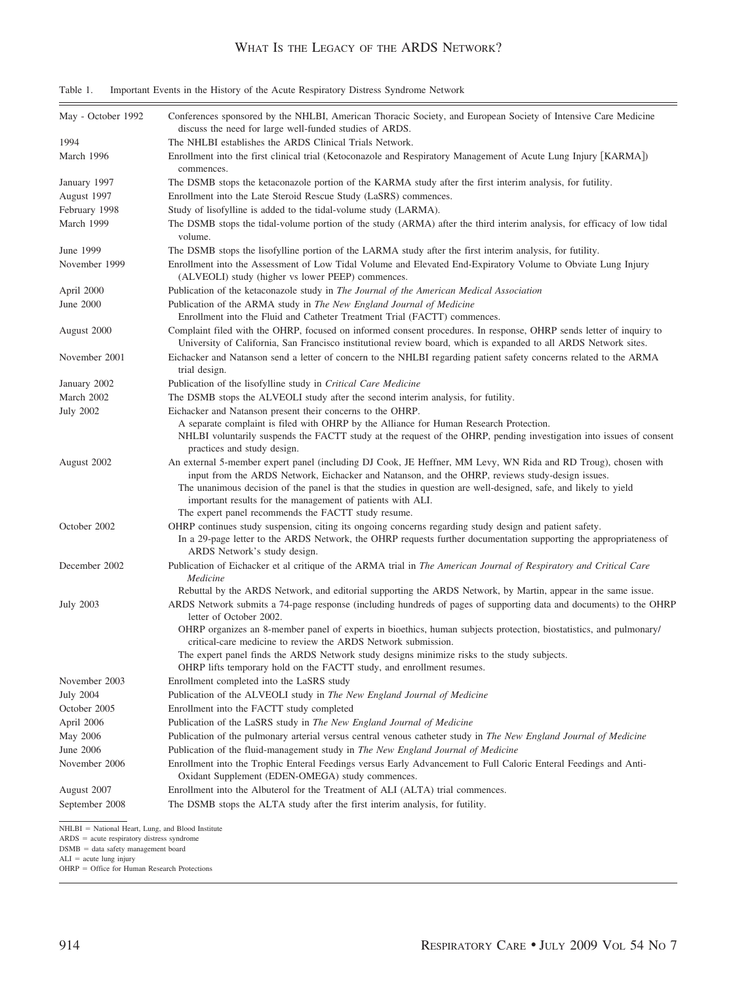# WHAT IS THE LEGACY OF THE ARDS NETWORK?

| Table 1. | Important Events in the History of the Acute Respiratory Distress Syndrome Network |  |  |
|----------|------------------------------------------------------------------------------------|--|--|
|          |                                                                                    |  |  |

| May - October 1992 | Conferences sponsored by the NHLBI, American Thoracic Society, and European Society of Intensive Care Medicine<br>discuss the need for large well-funded studies of ARDS.                                                                                                                                                                                                                          |
|--------------------|----------------------------------------------------------------------------------------------------------------------------------------------------------------------------------------------------------------------------------------------------------------------------------------------------------------------------------------------------------------------------------------------------|
| 1994               | The NHLBI establishes the ARDS Clinical Trials Network.                                                                                                                                                                                                                                                                                                                                            |
| March 1996         | Enrollment into the first clinical trial (Ketoconazole and Respiratory Management of Acute Lung Injury [KARMA])<br>commences.                                                                                                                                                                                                                                                                      |
| January 1997       | The DSMB stops the ketaconazole portion of the KARMA study after the first interim analysis, for futility.                                                                                                                                                                                                                                                                                         |
| August 1997        | Enrollment into the Late Steroid Rescue Study (LaSRS) commences.                                                                                                                                                                                                                                                                                                                                   |
| February 1998      | Study of lisofylline is added to the tidal-volume study (LARMA).                                                                                                                                                                                                                                                                                                                                   |
| March 1999         | The DSMB stops the tidal-volume portion of the study (ARMA) after the third interim analysis, for efficacy of low tidal<br>volume.                                                                                                                                                                                                                                                                 |
| June 1999          | The DSMB stops the lisofylline portion of the LARMA study after the first interim analysis, for futility.                                                                                                                                                                                                                                                                                          |
| November 1999      | Enrollment into the Assessment of Low Tidal Volume and Elevated End-Expiratory Volume to Obviate Lung Injury<br>(ALVEOLI) study (higher vs lower PEEP) commences.                                                                                                                                                                                                                                  |
| April 2000         | Publication of the ketaconazole study in <i>The Journal of the American Medical Association</i>                                                                                                                                                                                                                                                                                                    |
| June 2000          | Publication of the ARMA study in The New England Journal of Medicine<br>Enrollment into the Fluid and Catheter Treatment Trial (FACTT) commences.                                                                                                                                                                                                                                                  |
| August 2000        | Complaint filed with the OHRP, focused on informed consent procedures. In response, OHRP sends letter of inquiry to<br>University of California, San Francisco institutional review board, which is expanded to all ARDS Network sites.                                                                                                                                                            |
| November 2001      | Eichacker and Natanson send a letter of concern to the NHLBI regarding patient safety concerns related to the ARMA<br>trial design.                                                                                                                                                                                                                                                                |
| January 2002       | Publication of the lisofylline study in Critical Care Medicine                                                                                                                                                                                                                                                                                                                                     |
| March 2002         | The DSMB stops the ALVEOLI study after the second interim analysis, for futility.                                                                                                                                                                                                                                                                                                                  |
| <b>July 2002</b>   | Eichacker and Natanson present their concerns to the OHRP.                                                                                                                                                                                                                                                                                                                                         |
|                    | A separate complaint is filed with OHRP by the Alliance for Human Research Protection.<br>NHLBI voluntarily suspends the FACTT study at the request of the OHRP, pending investigation into issues of consent<br>practices and study design.                                                                                                                                                       |
| August 2002        | An external 5-member expert panel (including DJ Cook, JE Heffner, MM Levy, WN Rida and RD Troug), chosen with<br>input from the ARDS Network, Eichacker and Natanson, and the OHRP, reviews study-design issues.<br>The unanimous decision of the panel is that the studies in question are well-designed, safe, and likely to yield<br>important results for the management of patients with ALI. |
|                    | The expert panel recommends the FACTT study resume.                                                                                                                                                                                                                                                                                                                                                |
| October 2002       | OHRP continues study suspension, citing its ongoing concerns regarding study design and patient safety.<br>In a 29-page letter to the ARDS Network, the OHRP requests further documentation supporting the appropriateness of<br>ARDS Network's study design.                                                                                                                                      |
| December 2002      | Publication of Eichacker et al critique of the ARMA trial in The American Journal of Respiratory and Critical Care<br>Medicine                                                                                                                                                                                                                                                                     |
|                    | Rebuttal by the ARDS Network, and editorial supporting the ARDS Network, by Martin, appear in the same issue.                                                                                                                                                                                                                                                                                      |
| <b>July 2003</b>   | ARDS Network submits a 74-page response (including hundreds of pages of supporting data and documents) to the OHRP<br>letter of October 2002.                                                                                                                                                                                                                                                      |
|                    | OHRP organizes an 8-member panel of experts in bioethics, human subjects protection, biostatistics, and pulmonary/<br>critical-care medicine to review the ARDS Network submission.<br>The expert panel finds the ARDS Network study designs minimize risks to the study subjects.                                                                                                                 |
|                    | OHRP lifts temporary hold on the FACTT study, and enrollment resumes.                                                                                                                                                                                                                                                                                                                              |
| November 2003      | Enrollment completed into the LaSRS study                                                                                                                                                                                                                                                                                                                                                          |
| <b>July 2004</b>   | Publication of the ALVEOLI study in The New England Journal of Medicine                                                                                                                                                                                                                                                                                                                            |
| October 2005       | Enrollment into the FACTT study completed                                                                                                                                                                                                                                                                                                                                                          |
| April 2006         | Publication of the LaSRS study in The New England Journal of Medicine                                                                                                                                                                                                                                                                                                                              |
| May 2006           | Publication of the pulmonary arterial versus central venous catheter study in The New England Journal of Medicine                                                                                                                                                                                                                                                                                  |
| June 2006          | Publication of the fluid-management study in The New England Journal of Medicine                                                                                                                                                                                                                                                                                                                   |
| November 2006      | Enrollment into the Trophic Enteral Feedings versus Early Advancement to Full Caloric Enteral Feedings and Anti-<br>Oxidant Supplement (EDEN-OMEGA) study commences.                                                                                                                                                                                                                               |
| August 2007        | Enrollment into the Albuterol for the Treatment of ALI (ALTA) trial commences.                                                                                                                                                                                                                                                                                                                     |
| September 2008     | The DSMB stops the ALTA study after the first interim analysis, for futility.                                                                                                                                                                                                                                                                                                                      |
|                    |                                                                                                                                                                                                                                                                                                                                                                                                    |

NHLBI = National Heart, Lung, and Blood Institute<br>ARDS = acute respiratory distress syndrome

 $DSMB = data$  safety management board

ALI = acute lung injury<br>OHRP = Office for Human Research Protections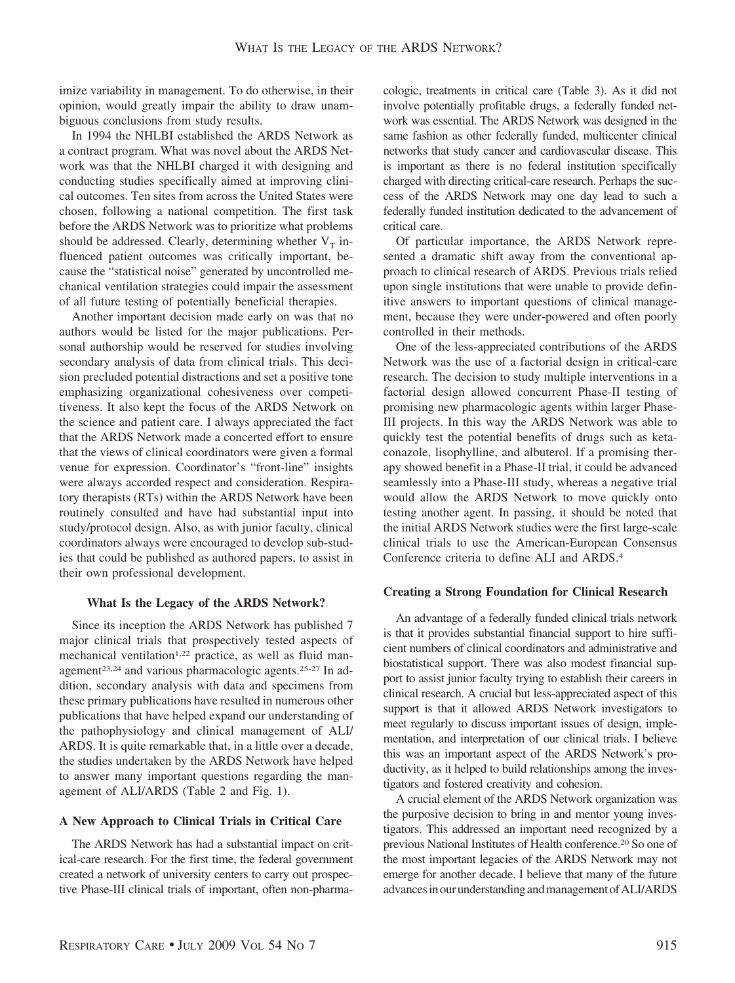imize variability in management. To do otherwise, in their opinion, would greatly impair the ability to draw unambiguous conclusions from study results.

In 1994 the NHLBI established the ARDS Network as a contract program. What was novel about the ARDS Network was that the NHLBI charged it with designing and conducting studies specifically aimed at improving clinical outcomes. Ten sites from across the United States were chosen, following a national competition. The first task before the ARDS Network was to prioritize what problems should be addressed. Clearly, determining whether  $V_T$  influenced patient outcomes was critically important, because the "statistical noise" generated by uncontrolled mechanical ventilation strategies could impair the assessment of all future testing of potentially beneficial therapies.

Another important decision made early on was that no authors would be listed for the major publications. Personal authorship would be reserved for studies involving secondary analysis of data from clinical trials. This decision precluded potential distractions and set a positive tone emphasizing organizational cohesiveness over competitiveness. It also kept the focus of the ARDS Network on the science and patient care. I always appreciated the fact that the ARDS Network made a concerted effort to ensure that the views of clinical coordinators were given a formal venue for expression. Coordinator's "front-line" insights were always accorded respect and consideration. Respiratory therapists (RTs) within the ARDS Network have been routinely consulted and have had substantial input into study/protocol design. Also, as with junior faculty, clinical coordinators always were encouraged to develop sub-studies that could be published as authored papers, to assist in their own professional development.

### **What Is the Legacy of the ARDS Network?**

Since its inception the ARDS Network has published 7 major clinical trials that prospectively tested aspects of mechanical ventilation<sup>1,22</sup> practice, as well as fluid management23,24 and various pharmacologic agents.25-27 In addition, secondary analysis with data and specimens from these primary publications have resulted in numerous other publications that have helped expand our understanding of the pathophysiology and clinical management of ALI/ ARDS. It is quite remarkable that, in a little over a decade, the studies undertaken by the ARDS Network have helped to answer many important questions regarding the management of ALI/ARDS (Table 2 and Fig. 1).

#### **A New Approach to Clinical Trials in Critical Care**

The ARDS Network has had a substantial impact on critical-care research. For the first time, the federal government created a network of university centers to carry out prospective Phase-III clinical trials of important, often non-pharma-

cologic, treatments in critical care (Table 3). As it did not involve potentially profitable drugs, a federally funded network was essential. The ARDS Network was designed in the same fashion as other federally funded, multicenter clinical networks that study cancer and cardiovascular disease. This is important as there is no federal institution specifically charged with directing critical-care research. Perhaps the success of the ARDS Network may one day lead to such a federally funded institution dedicated to the advancement of critical care.

Of particular importance, the ARDS Network represented a dramatic shift away from the conventional approach to clinical research of ARDS. Previous trials relied upon single institutions that were unable to provide definitive answers to important questions of clinical management, because they were under-powered and often poorly controlled in their methods.

One of the less-appreciated contributions of the ARDS Network was the use of a factorial design in critical-care research. The decision to study multiple interventions in a factorial design allowed concurrent Phase-II testing of promising new pharmacologic agents within larger Phase-III projects. In this way the ARDS Network was able to quickly test the potential benefits of drugs such as ketaconazole, lisophylline, and albuterol. If a promising therapy showed benefit in a Phase-II trial, it could be advanced seamlessly into a Phase-III study, whereas a negative trial would allow the ARDS Network to move quickly onto testing another agent. In passing, it should be noted that the initial ARDS Network studies were the first large-scale clinical trials to use the American-European Consensus Conference criteria to define ALI and ARDS.4

#### **Creating a Strong Foundation for Clinical Research**

An advantage of a federally funded clinical trials network is that it provides substantial financial support to hire sufficient numbers of clinical coordinators and administrative and biostatistical support. There was also modest financial support to assist junior faculty trying to establish their careers in clinical research. A crucial but less-appreciated aspect of this support is that it allowed ARDS Network investigators to meet regularly to discuss important issues of design, implementation, and interpretation of our clinical trials. I believe this was an important aspect of the ARDS Network's productivity, as it helped to build relationships among the investigators and fostered creativity and cohesion.

A crucial element of the ARDS Network organization was the purposive decision to bring in and mentor young investigators. This addressed an important need recognized by a previous National Institutes of Health conference.20 So one of the most important legacies of the ARDS Network may not emerge for another decade. I believe that many of the future advances in our understanding and management of ALI/ARDS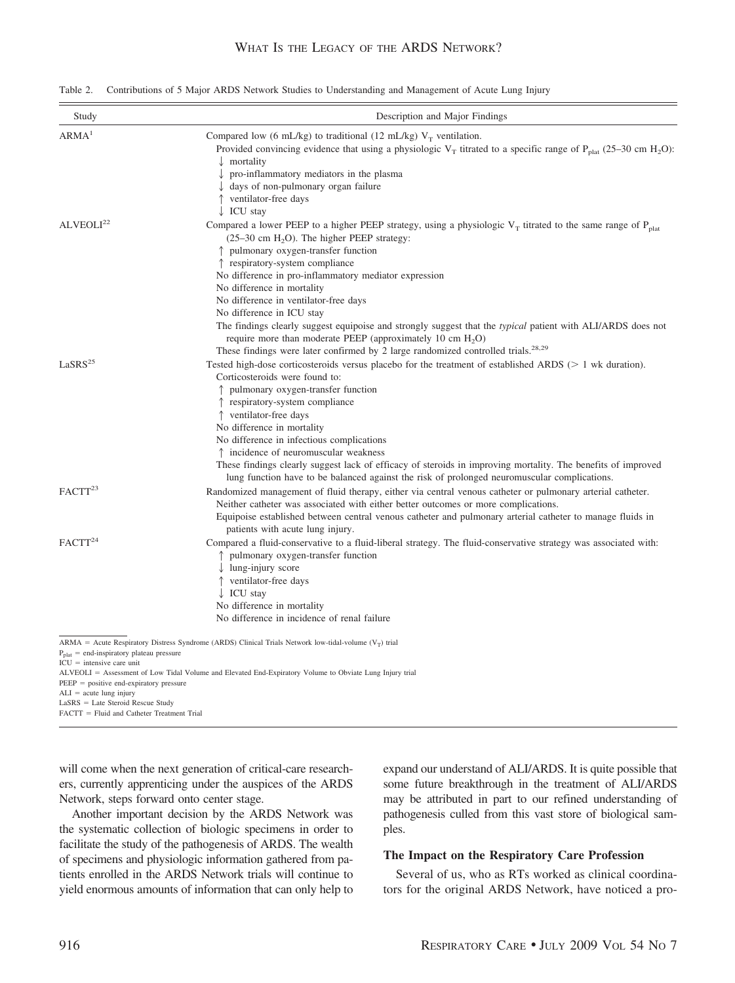| Table 2. |  |  |  | Contributions of 5 Major ARDS Network Studies to Understanding and Management of Acute Lung Injury |  |  |
|----------|--|--|--|----------------------------------------------------------------------------------------------------|--|--|
|----------|--|--|--|----------------------------------------------------------------------------------------------------|--|--|

| Study                                                                                                                            | Description and Major Findings                                                                                                                                                                                                                                                                                                                                                                                                                                                                                                                                                                                                                                                                                      |  |  |  |
|----------------------------------------------------------------------------------------------------------------------------------|---------------------------------------------------------------------------------------------------------------------------------------------------------------------------------------------------------------------------------------------------------------------------------------------------------------------------------------------------------------------------------------------------------------------------------------------------------------------------------------------------------------------------------------------------------------------------------------------------------------------------------------------------------------------------------------------------------------------|--|--|--|
| ARMA <sup>1</sup>                                                                                                                | Compared low (6 mL/kg) to traditional (12 mL/kg) $V_T$ ventilation.<br>Provided convincing evidence that using a physiologic V <sub>T</sub> titrated to a specific range of P <sub>plat</sub> (25–30 cm H <sub>2</sub> O):<br>$\downarrow$ mortality<br>$\downarrow$ pro-inflammatory mediators in the plasma<br>$\downarrow$ days of non-pulmonary organ failure<br>↑ ventilator-free days<br>$\downarrow$ ICU stay                                                                                                                                                                                                                                                                                                |  |  |  |
| ALVEOLI <sup>22</sup>                                                                                                            | Compared a lower PEEP to a higher PEEP strategy, using a physiologic $V_T$ titrated to the same range of $P_{\text{plat}}$<br>$(25-30 \text{ cm H}, 0)$ . The higher PEEP strategy:<br>↑ pulmonary oxygen-transfer function<br>↑ respiratory-system compliance<br>No difference in pro-inflammatory mediator expression<br>No difference in mortality<br>No difference in ventilator-free days<br>No difference in ICU stay<br>The findings clearly suggest equipoise and strongly suggest that the <i>typical</i> patient with ALI/ARDS does not<br>require more than moderate PEEP (approximately 10 cm $H_2O$ )<br>These findings were later confirmed by 2 large randomized controlled trials. <sup>28,29</sup> |  |  |  |
| LaSRS <sup>25</sup>                                                                                                              | Tested high-dose corticosteroids versus placebo for the treatment of established ARDS ( $> 1$ wk duration).<br>Corticosteroids were found to:<br>↑ pulmonary oxygen-transfer function<br>↑ respiratory-system compliance<br>↑ ventilator-free days<br>No difference in mortality<br>No difference in infectious complications<br>↑ incidence of neuromuscular weakness<br>These findings clearly suggest lack of efficacy of steroids in improving mortality. The benefits of improved<br>lung function have to be balanced against the risk of prolonged neuromuscular complications.                                                                                                                              |  |  |  |
| FACT <sup>23</sup>                                                                                                               | Randomized management of fluid therapy, either via central venous catheter or pulmonary arterial catheter.<br>Neither catheter was associated with either better outcomes or more complications.<br>Equipoise established between central venous catheter and pulmonary arterial catheter to manage fluids in<br>patients with acute lung injury.                                                                                                                                                                                                                                                                                                                                                                   |  |  |  |
| FACTT <sup>24</sup>                                                                                                              | Compared a fluid-conservative to a fluid-liberal strategy. The fluid-conservative strategy was associated with:<br>↑ pulmonary oxygen-transfer function<br>$\downarrow$ lung-injury score<br>↑ ventilator-free days<br>$\downarrow$ ICU stay<br>No difference in mortality<br>No difference in incidence of renal failure                                                                                                                                                                                                                                                                                                                                                                                           |  |  |  |
| $P_{\text{plat}}$ = end-inspiratory plateau pressure<br>$ICU =$ intensive care unit<br>$PEEP = positive end-expiratory pressure$ | ARMA = Acute Respiratory Distress Syndrome (ARDS) Clinical Trials Network low-tidal-volume ( $V_T$ ) trial<br>ALVEOLI = Assessment of Low Tidal Volume and Elevated End-Expiratory Volume to Obviate Lung Injury trial                                                                                                                                                                                                                                                                                                                                                                                                                                                                                              |  |  |  |

 $ALI = acute lung injury$ 

 $LASS = Late$  Steroid Rescue Study

FACTT = Fluid and Catheter Treatment Trial

will come when the next generation of critical-care researchers, currently apprenticing under the auspices of the ARDS Network, steps forward onto center stage.

Another important decision by the ARDS Network was the systematic collection of biologic specimens in order to facilitate the study of the pathogenesis of ARDS. The wealth of specimens and physiologic information gathered from patients enrolled in the ARDS Network trials will continue to yield enormous amounts of information that can only help to expand our understand of ALI/ARDS. It is quite possible that some future breakthrough in the treatment of ALI/ARDS may be attributed in part to our refined understanding of pathogenesis culled from this vast store of biological samples.

# **The Impact on the Respiratory Care Profession**

Several of us, who as RTs worked as clinical coordinators for the original ARDS Network, have noticed a pro-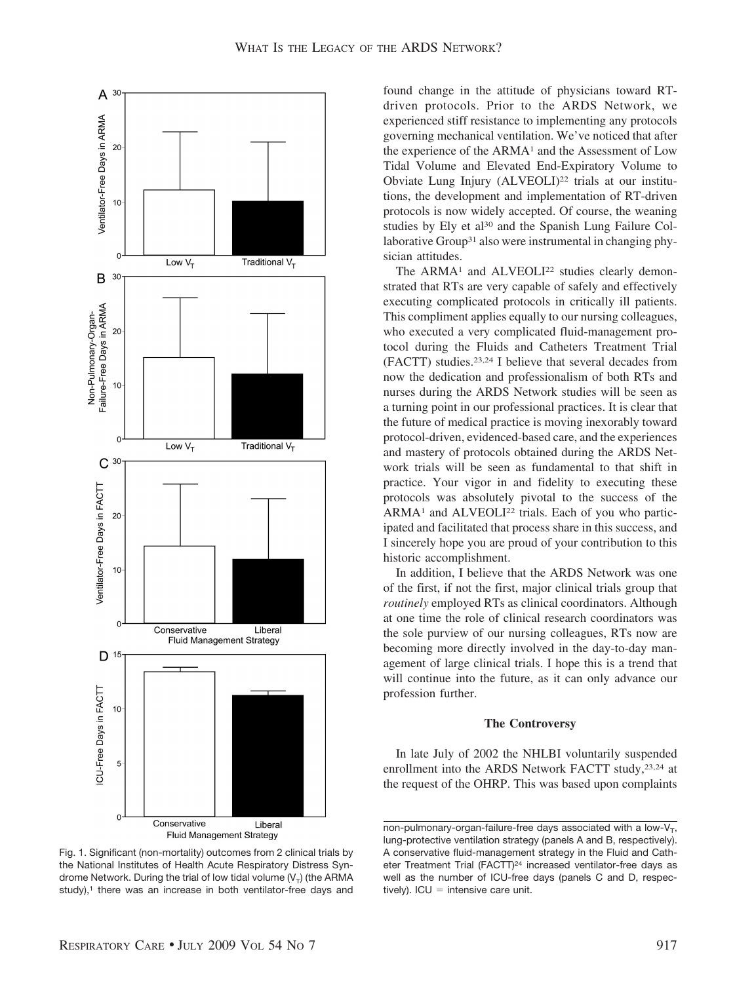

Fig. 1. Significant (non-mortality) outcomes from 2 clinical trials by the National Institutes of Health Acute Respiratory Distress Syndrome Network. During the trial of low tidal volume  $(V_T)$  (the ARMA study),<sup>1</sup> there was an increase in both ventilator-free days and

found change in the attitude of physicians toward RTdriven protocols. Prior to the ARDS Network, we experienced stiff resistance to implementing any protocols governing mechanical ventilation. We've noticed that after the experience of the ARMA<sup>1</sup> and the Assessment of Low Tidal Volume and Elevated End-Expiratory Volume to Obviate Lung Injury (ALVEOLI)<sup>22</sup> trials at our institutions, the development and implementation of RT-driven protocols is now widely accepted. Of course, the weaning studies by Ely et al<sup>30</sup> and the Spanish Lung Failure Collaborative Group31 also were instrumental in changing physician attitudes.

The ARMA<sup>1</sup> and ALVEOLI<sup>22</sup> studies clearly demonstrated that RTs are very capable of safely and effectively executing complicated protocols in critically ill patients. This compliment applies equally to our nursing colleagues, who executed a very complicated fluid-management protocol during the Fluids and Catheters Treatment Trial (FACTT) studies.23,24 I believe that several decades from now the dedication and professionalism of both RTs and nurses during the ARDS Network studies will be seen as a turning point in our professional practices. It is clear that the future of medical practice is moving inexorably toward protocol-driven, evidenced-based care, and the experiences and mastery of protocols obtained during the ARDS Network trials will be seen as fundamental to that shift in practice. Your vigor in and fidelity to executing these protocols was absolutely pivotal to the success of the  $ARMA<sup>1</sup>$  and  $ALVEOLI<sup>22</sup>$  trials. Each of you who participated and facilitated that process share in this success, and I sincerely hope you are proud of your contribution to this historic accomplishment.

In addition, I believe that the ARDS Network was one of the first, if not the first, major clinical trials group that *routinely* employed RTs as clinical coordinators. Although at one time the role of clinical research coordinators was the sole purview of our nursing colleagues, RTs now are becoming more directly involved in the day-to-day management of large clinical trials. I hope this is a trend that will continue into the future, as it can only advance our profession further.

# **The Controversy**

In late July of 2002 the NHLBI voluntarily suspended enrollment into the ARDS Network FACTT study,<sup>23,24</sup> at the request of the OHRP. This was based upon complaints

non-pulmonary-organ-failure-free days associated with a low- $V_T$ , lung-protective ventilation strategy (panels A and B, respectively). A conservative fluid-management strategy in the Fluid and Catheter Treatment Trial (FACTT)<sup>24</sup> increased ventilator-free days as well as the number of ICU-free days (panels C and D, respectively). ICU = intensive care unit.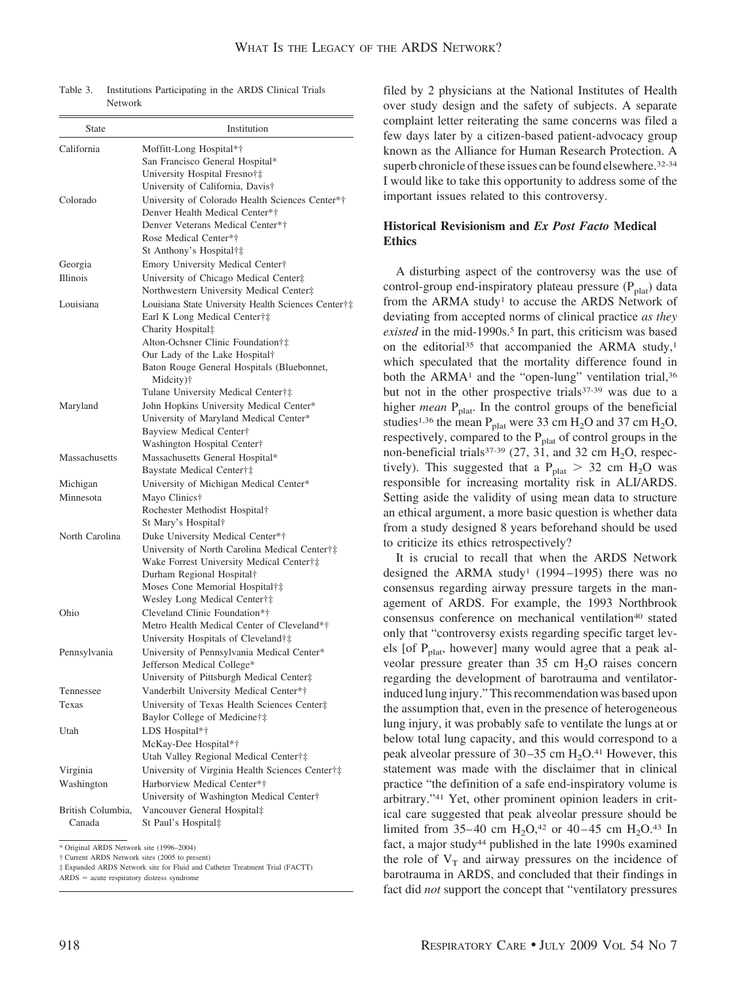Table 3. Institutions Participating in the ARDS Clinical Trials Network

| <b>State</b>      | Institution                                                                       |
|-------------------|-----------------------------------------------------------------------------------|
| California        | Moffitt-Long Hospital*†                                                           |
|                   | San Francisco General Hospital*                                                   |
|                   | University Hospital Fresno†‡                                                      |
|                   | University of California, Davis†                                                  |
| Colorado          | University of Colorado Health Sciences Center*†                                   |
|                   | Denver Health Medical Center*†                                                    |
|                   | Denver Veterans Medical Center*†                                                  |
|                   | Rose Medical Center*†                                                             |
|                   | St Anthony's Hospital†‡                                                           |
| Georgia           | Emory University Medical Center†                                                  |
| Illinois          | University of Chicago Medical Center‡                                             |
|                   | Northwestern University Medical Center‡                                           |
| Louisiana         | Louisiana State University Health Sciences Center†‡                               |
|                   | Earl K Long Medical Center†‡                                                      |
|                   | Charity Hospital‡                                                                 |
|                   | Alton-Ochsner Clinic Foundation†‡                                                 |
|                   | Our Lady of the Lake Hospital†                                                    |
|                   | Baton Rouge General Hospitals (Bluebonnet,                                        |
|                   | Midcity)†<br>Tulane University Medical Center†‡                                   |
|                   |                                                                                   |
| Maryland          | John Hopkins University Medical Center*<br>University of Maryland Medical Center* |
|                   | Bayview Medical Center†                                                           |
|                   | Washington Hospital Center†                                                       |
| Massachusetts     | Massachusetts General Hospital*                                                   |
|                   | Baystate Medical Center†‡                                                         |
| Michigan          | University of Michigan Medical Center*                                            |
| Minnesota         | Mayo Clinics†                                                                     |
|                   | Rochester Methodist Hospital†                                                     |
|                   | St Mary's Hospital†                                                               |
| North Carolina    | Duke University Medical Center*†                                                  |
|                   | University of North Carolina Medical Center†‡                                     |
|                   | Wake Forrest University Medical Center†‡                                          |
|                   | Durham Regional Hospital†                                                         |
|                   | Moses Cone Memorial Hospital†‡                                                    |
|                   | Wesley Long Medical Center†‡                                                      |
| Ohio              | Cleveland Clinic Foundation*†                                                     |
|                   | Metro Health Medical Center of Cleveland*†                                        |
|                   | University Hospitals of Cleveland†‡                                               |
| Pennsylvania      | University of Pennsylvania Medical Center*                                        |
|                   | Jefferson Medical College*                                                        |
|                   | University of Pittsburgh Medical Center‡                                          |
| Tennessee         | Vanderbilt University Medical Center*†                                            |
| Texas             | University of Texas Health Sciences Center‡                                       |
|                   | Baylor College of Medicine†‡                                                      |
| Utah              | LDS Hospital*†                                                                    |
|                   | McKay-Dee Hospital*†                                                              |
|                   | Utah Valley Regional Medical Center†‡                                             |
| Virginia          | University of Virginia Health Sciences Center†‡                                   |
| Washington        | Harborview Medical Center*†                                                       |
|                   | University of Washington Medical Center†                                          |
| British Columbia, | Vancouver General Hospital‡                                                       |
| Canada            | St Paul's Hospital‡                                                               |

\* Original ARDS Network site (1996–2004)

† Current ARDS Network sites (2005 to present)

‡ Expanded ARDS Network site for Fluid and Catheter Treatment Trial (FACTT)

 $ARDS = acute$  respiratory distress syndrome

filed by 2 physicians at the National Institutes of Health over study design and the safety of subjects. A separate complaint letter reiterating the same concerns was filed a few days later by a citizen-based patient-advocacy group known as the Alliance for Human Research Protection. A superb chronicle of these issues can be found elsewhere.<sup>32-34</sup> I would like to take this opportunity to address some of the important issues related to this controversy.

# **Historical Revisionism and** *Ex Post Facto* **Medical Ethics**

A disturbing aspect of the controversy was the use of control-group end-inspiratory plateau pressure  $(P_{\text{plat}})$  data from the ARMA study<sup>1</sup> to accuse the ARDS Network of deviating from accepted norms of clinical practice *as they existed* in the mid-1990s.<sup>5</sup> In part, this criticism was based on the editorial<sup>35</sup> that accompanied the ARMA study,<sup>1</sup> which speculated that the mortality difference found in both the ARMA<sup>1</sup> and the "open-lung" ventilation trial,<sup>36</sup> but not in the other prospective trials<sup>37-39</sup> was due to a higher *mean* P<sub>plat</sub>. In the control groups of the beneficial studies<sup>1,36</sup> the mean P<sub>plat</sub> were 33 cm H<sub>2</sub>O and 37 cm H<sub>2</sub>O, respectively, compared to the  $P_{\text{plat}}$  of control groups in the non-beneficial trials<sup>37-39</sup> (27, 31, and 32 cm  $H_2O$ , respectively). This suggested that a  $P_{\text{plat}} > 32 \text{ cm } H_2\text{O}$  was responsible for increasing mortality risk in ALI/ARDS. Setting aside the validity of using mean data to structure an ethical argument, a more basic question is whether data from a study designed 8 years beforehand should be used to criticize its ethics retrospectively?

It is crucial to recall that when the ARDS Network designed the ARMA study<sup>1</sup> (1994–1995) there was no consensus regarding airway pressure targets in the management of ARDS. For example, the 1993 Northbrook consensus conference on mechanical ventilation<sup>40</sup> stated only that "controversy exists regarding specific target levels [of Pplat, however] many would agree that a peak alveolar pressure greater than  $35 \text{ cm H}_2\text{O}$  raises concern regarding the development of barotrauma and ventilatorinduced lung injury." This recommendation was based upon the assumption that, even in the presence of heterogeneous lung injury, it was probably safe to ventilate the lungs at or below total lung capacity, and this would correspond to a peak alveolar pressure of  $30-35$  cm  $H_2O^{41}$  However, this statement was made with the disclaimer that in clinical practice "the definition of a safe end-inspiratory volume is arbitrary."41 Yet, other prominent opinion leaders in critical care suggested that peak alveolar pressure should be limited from 35–40 cm  $H_2O$ ,<sup>42</sup> or 40–45 cm  $H_2O$ .<sup>43</sup> In fact, a major study<sup>44</sup> published in the late 1990s examined the role of  $V_T$  and airway pressures on the incidence of barotrauma in ARDS, and concluded that their findings in fact did *not* support the concept that "ventilatory pressures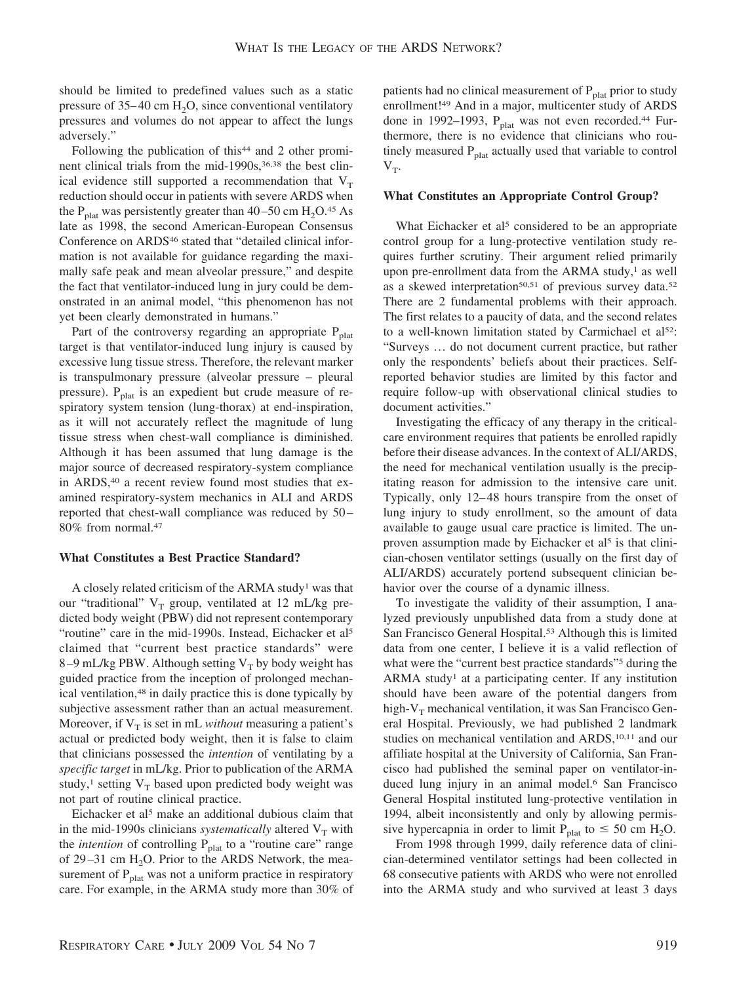should be limited to predefined values such as a static pressure of  $35-40$  cm H<sub>2</sub>O, since conventional ventilatory pressures and volumes do not appear to affect the lungs adversely."

Following the publication of this<sup>44</sup> and 2 other prominent clinical trials from the mid-1990s,<sup>36,38</sup> the best clinical evidence still supported a recommendation that  $V_T$ reduction should occur in patients with severe ARDS when the P<sub>plat</sub> was persistently greater than  $40-50$  cm  $H_2O^{45}$  As late as 1998, the second American-European Consensus Conference on ARDS<sup>46</sup> stated that "detailed clinical information is not available for guidance regarding the maximally safe peak and mean alveolar pressure," and despite the fact that ventilator-induced lung in jury could be demonstrated in an animal model, "this phenomenon has not yet been clearly demonstrated in humans."

Part of the controversy regarding an appropriate  $P_{\text{plat}}$ target is that ventilator-induced lung injury is caused by excessive lung tissue stress. Therefore, the relevant marker is transpulmonary pressure (alveolar pressure – pleural pressure).  $P_{\text{plat}}$  is an expedient but crude measure of respiratory system tension (lung-thorax) at end-inspiration, as it will not accurately reflect the magnitude of lung tissue stress when chest-wall compliance is diminished. Although it has been assumed that lung damage is the major source of decreased respiratory-system compliance in ARDS,<sup>40</sup> a recent review found most studies that examined respiratory-system mechanics in ALI and ARDS reported that chest-wall compliance was reduced by 50 – 80% from normal.47

#### **What Constitutes a Best Practice Standard?**

A closely related criticism of the ARMA study1 was that our "traditional"  $V_T$  group, ventilated at 12 mL/kg predicted body weight (PBW) did not represent contemporary "routine" care in the mid-1990s. Instead, Eichacker et al<sup>5</sup> claimed that "current best practice standards" were 8–9 mL/kg PBW. Although setting  $V_T$  by body weight has guided practice from the inception of prolonged mechanical ventilation,48 in daily practice this is done typically by subjective assessment rather than an actual measurement. Moreover, if  $V_T$  is set in mL *without* measuring a patient's actual or predicted body weight, then it is false to claim that clinicians possessed the *intention* of ventilating by a *specific target* in mL/kg. Prior to publication of the ARMA study,<sup>1</sup> setting  $V_T$  based upon predicted body weight was not part of routine clinical practice.

Eichacker et al5 make an additional dubious claim that in the mid-1990s clinicians *systematically* altered  $V_T$  with the *intention* of controlling  $P_{\text{plat}}$  to a "routine care" range of 29-31 cm  $H<sub>2</sub>O$ . Prior to the ARDS Network, the measurement of  $P<sub>plat</sub>$  was not a uniform practice in respiratory care. For example, in the ARMA study more than 30% of

patients had no clinical measurement of  $P_{\text{plat}}$  prior to study enrollment!49 And in a major, multicenter study of ARDS done in 1992–1993,  $P_{\text{plat}}$  was not even recorded.<sup>44</sup> Furthermore, there is no evidence that clinicians who routinely measured  $P<sub>plat</sub>$  actually used that variable to control  $V_T$ .

## **What Constitutes an Appropriate Control Group?**

What Eichacker et al<sup>5</sup> considered to be an appropriate control group for a lung-protective ventilation study requires further scrutiny. Their argument relied primarily upon pre-enrollment data from the ARMA study, $<sup>1</sup>$  as well</sup> as a skewed interpretation<sup>50,51</sup> of previous survey data.<sup>52</sup> There are 2 fundamental problems with their approach. The first relates to a paucity of data, and the second relates to a well-known limitation stated by Carmichael et al<sup>52</sup>: "Surveys … do not document current practice, but rather only the respondents' beliefs about their practices. Selfreported behavior studies are limited by this factor and require follow-up with observational clinical studies to document activities."

Investigating the efficacy of any therapy in the criticalcare environment requires that patients be enrolled rapidly before their disease advances. In the context of ALI/ARDS, the need for mechanical ventilation usually is the precipitating reason for admission to the intensive care unit. Typically, only 12– 48 hours transpire from the onset of lung injury to study enrollment, so the amount of data available to gauge usual care practice is limited. The unproven assumption made by Eichacker et al<sup>5</sup> is that clinician-chosen ventilator settings (usually on the first day of ALI/ARDS) accurately portend subsequent clinician behavior over the course of a dynamic illness.

To investigate the validity of their assumption, I analyzed previously unpublished data from a study done at San Francisco General Hospital.53 Although this is limited data from one center, I believe it is a valid reflection of what were the "current best practice standards"<sup>5</sup> during the ARMA study<sup>1</sup> at a participating center. If any institution should have been aware of the potential dangers from high- $V<sub>T</sub>$  mechanical ventilation, it was San Francisco General Hospital. Previously, we had published 2 landmark studies on mechanical ventilation and ARDS,<sup>10,11</sup> and our affiliate hospital at the University of California, San Francisco had published the seminal paper on ventilator-induced lung injury in an animal model.6 San Francisco General Hospital instituted lung-protective ventilation in 1994, albeit inconsistently and only by allowing permissive hypercapnia in order to limit  $P_{\text{plat}}$  to  $\leq 50$  cm H<sub>2</sub>O.

From 1998 through 1999, daily reference data of clinician-determined ventilator settings had been collected in 68 consecutive patients with ARDS who were not enrolled into the ARMA study and who survived at least 3 days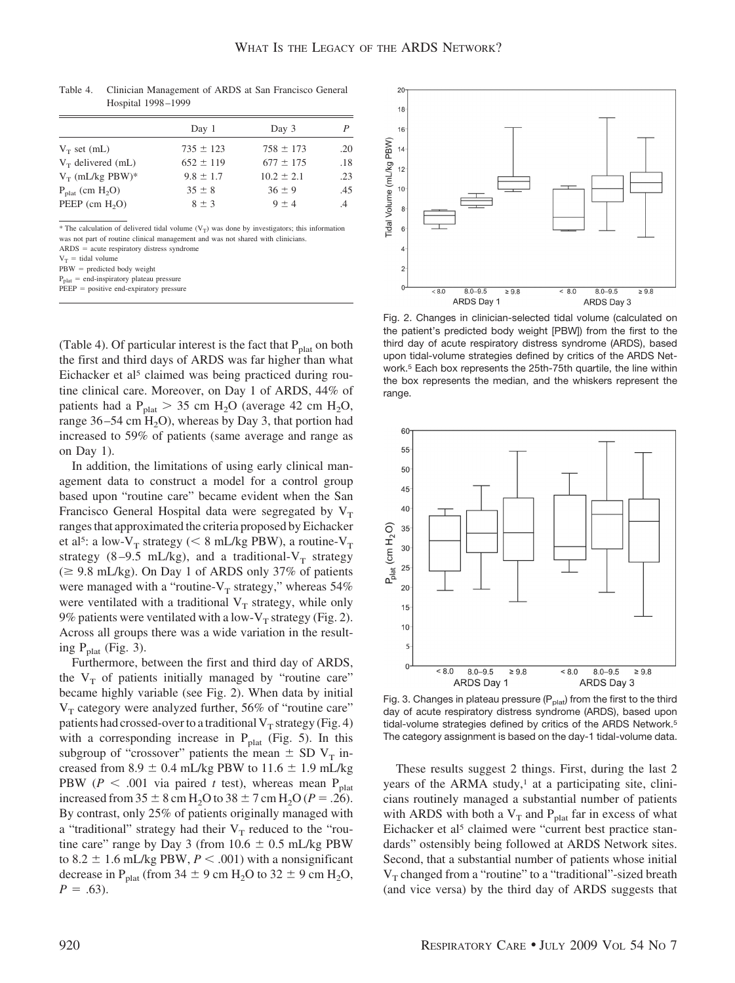|                                | Day 1         | Day 3          | P   |
|--------------------------------|---------------|----------------|-----|
| $V_T$ set (mL)                 | $735 \pm 123$ | $758 \pm 173$  | .20 |
| $V_T$ delivered (mL)           | $652 \pm 119$ | $677 \pm 175$  | .18 |
| $V_T$ (mL/kg PBW)*             | $9.8 \pm 1.7$ | $10.2 \pm 2.1$ | .23 |
| $P_{\text{plat}}$ (cm $H_2O$ ) | $35 \pm 8$    | $36 \pm 9$     | .45 |
| $PEEP$ (cm $H2O$ )             | $8 \pm 3$     | $9 + 4$        | .4  |

Table 4. Clinician Management of ARDS at San Francisco General Hospital 1998 –1999

\* The calculation of delivered tidal volume  $(V_T)$  was done by investigators; this information was not part of routine clinical management and was not shared with clinicians.  $ARDS = acute$  respiratory distress syndrome

 $V_T$  = tidal volume

 $PBW =$  predicted body weight

 $P_{\text{plat}} =$  end-inspiratory plateau pressure

 $PEEP = positive$  end-expiratory pressure

(Table 4). Of particular interest is the fact that  $P_{\text{plat}}$  on both the first and third days of ARDS was far higher than what Eichacker et al<sup>5</sup> claimed was being practiced during routine clinical care. Moreover, on Day 1 of ARDS, 44% of patients had a  $P_{\text{plat}} > 35 \text{ cm H}_2\text{O}$  (average 42 cm H<sub>2</sub>O, range  $36 - 54$  cm  $H<sub>2</sub>O$ , whereas by Day 3, that portion had increased to 59% of patients (same average and range as on Day 1).

In addition, the limitations of using early clinical management data to construct a model for a control group based upon "routine care" became evident when the San Francisco General Hospital data were segregated by  $V<sub>T</sub>$ ranges that approximated the criteria proposed by Eichacker et al<sup>5</sup>: a low-V<sub>T</sub> strategy (< 8 mL/kg PBW), a routine-V<sub>T</sub> strategy (8-9.5 mL/kg), and a traditional- $V_T$  strategy  $\approx$  9.8 mL/kg). On Day 1 of ARDS only 37% of patients were managed with a "routine- $V_T$  strategy," whereas 54% were ventilated with a traditional  $V_T$  strategy, while only 9% patients were ventilated with a low- $V_T$  strategy (Fig. 2). Across all groups there was a wide variation in the resulting  $P_{\text{plat}}$  (Fig. 3).

Furthermore, between the first and third day of ARDS, the  $V_T$  of patients initially managed by "routine care" became highly variable (see Fig. 2). When data by initial  $V_T$  category were analyzed further, 56% of "routine care" patients had crossed-over to a traditional  $V_T$  strategy (Fig. 4) with a corresponding increase in  $P_{\text{plat}}$  (Fig. 5). In this subgroup of "crossover" patients the mean  $\pm$  SD V<sub>T</sub> increased from 8.9  $\pm$  0.4 mL/kg PBW to 11.6  $\pm$  1.9 mL/kg PBW ( $P < .001$  via paired *t* test), whereas mean P<sub>plat</sub> increased from  $35 \pm 8$  cm H<sub>2</sub>O to  $38 \pm 7$  cm H<sub>2</sub>O (*P* = .26). By contrast, only 25% of patients originally managed with a "traditional" strategy had their  $V_T$  reduced to the "routine care" range by Day 3 (from  $10.6 \pm 0.5$  mL/kg PBW to 8.2  $\pm$  1.6 mL/kg PBW,  $P < .001$ ) with a nonsignificant decrease in P<sub>plat</sub> (from 34  $\pm$  9 cm H<sub>2</sub>O to 32  $\pm$  9 cm H<sub>2</sub>O,  $P = .63$ ).



Fig. 2. Changes in clinician-selected tidal volume (calculated on the patient's predicted body weight [PBW]) from the first to the third day of acute respiratory distress syndrome (ARDS), based upon tidal-volume strategies defined by critics of the ARDS Network.5 Each box represents the 25th-75th quartile, the line within the box represents the median, and the whiskers represent the range.



Fig. 3. Changes in plateau pressure ( $P_{\text{plat}}$ ) from the first to the third day of acute respiratory distress syndrome (ARDS), based upon tidal-volume strategies defined by critics of the ARDS Network.5 The category assignment is based on the day-1 tidal-volume data.

These results suggest 2 things. First, during the last 2 years of the ARMA study, $\frac{1}{1}$  at a participating site, clinicians routinely managed a substantial number of patients with ARDS with both a  $V_T$  and  $P_{\text{plat}}$  far in excess of what Eichacker et al<sup>5</sup> claimed were "current best practice standards" ostensibly being followed at ARDS Network sites. Second, that a substantial number of patients whose initial  $V_T$  changed from a "routine" to a "traditional"-sized breath (and vice versa) by the third day of ARDS suggests that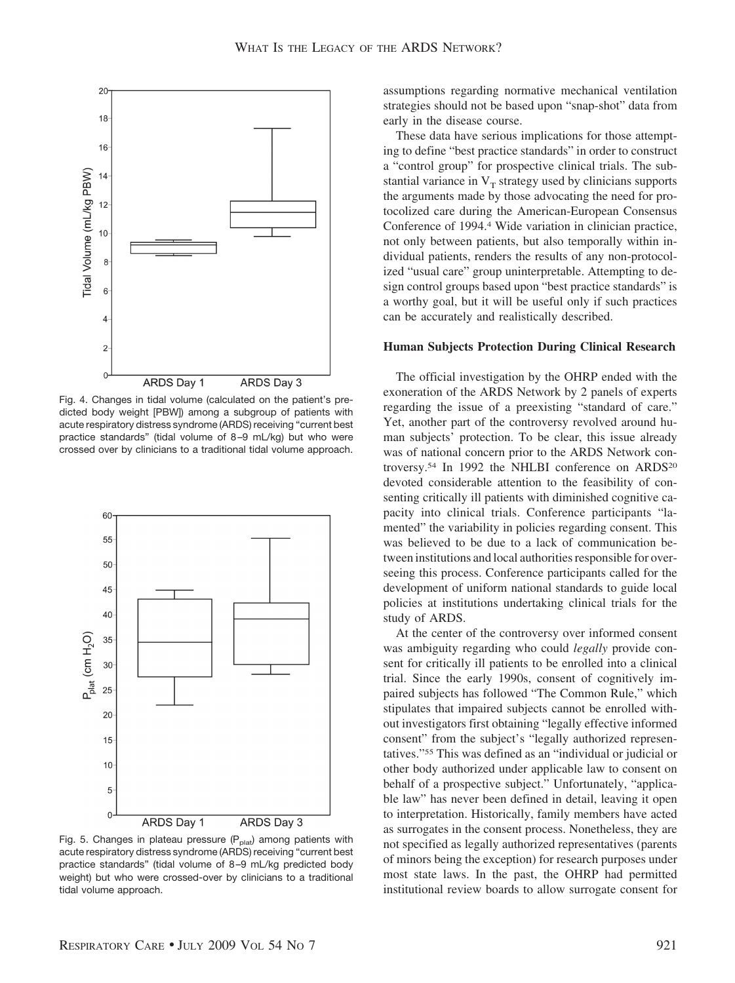

Fig. 4. Changes in tidal volume (calculated on the patient's predicted body weight [PBW]) among a subgroup of patients with acute respiratory distress syndrome (ARDS) receiving "current best practice standards" (tidal volume of 8 –9 mL/kg) but who were crossed over by clinicians to a traditional tidal volume approach.



Fig. 5. Changes in plateau pressure  $(P_{\text{plat}})$  among patients with acute respiratory distress syndrome (ARDS) receiving "current best practice standards" (tidal volume of 8-9 mL/kg predicted body weight) but who were crossed-over by clinicians to a traditional tidal volume approach.

assumptions regarding normative mechanical ventilation strategies should not be based upon "snap-shot" data from early in the disease course.

These data have serious implications for those attempting to define "best practice standards" in order to construct a "control group" for prospective clinical trials. The substantial variance in  $V_T$  strategy used by clinicians supports the arguments made by those advocating the need for protocolized care during the American-European Consensus Conference of 1994.4 Wide variation in clinician practice, not only between patients, but also temporally within individual patients, renders the results of any non-protocolized "usual care" group uninterpretable. Attempting to design control groups based upon "best practice standards" is a worthy goal, but it will be useful only if such practices can be accurately and realistically described.

# **Human Subjects Protection During Clinical Research**

The official investigation by the OHRP ended with the exoneration of the ARDS Network by 2 panels of experts regarding the issue of a preexisting "standard of care." Yet, another part of the controversy revolved around human subjects' protection. To be clear, this issue already was of national concern prior to the ARDS Network controversy.<sup>54</sup> In 1992 the NHLBI conference on ARDS<sup>20</sup> devoted considerable attention to the feasibility of consenting critically ill patients with diminished cognitive capacity into clinical trials. Conference participants "lamented" the variability in policies regarding consent. This was believed to be due to a lack of communication between institutions and local authorities responsible for overseeing this process. Conference participants called for the development of uniform national standards to guide local policies at institutions undertaking clinical trials for the study of ARDS.

At the center of the controversy over informed consent was ambiguity regarding who could *legally* provide consent for critically ill patients to be enrolled into a clinical trial. Since the early 1990s, consent of cognitively impaired subjects has followed "The Common Rule," which stipulates that impaired subjects cannot be enrolled without investigators first obtaining "legally effective informed consent" from the subject's "legally authorized representatives."55 This was defined as an "individual or judicial or other body authorized under applicable law to consent on behalf of a prospective subject." Unfortunately, "applicable law" has never been defined in detail, leaving it open to interpretation. Historically, family members have acted as surrogates in the consent process. Nonetheless, they are not specified as legally authorized representatives (parents of minors being the exception) for research purposes under most state laws. In the past, the OHRP had permitted institutional review boards to allow surrogate consent for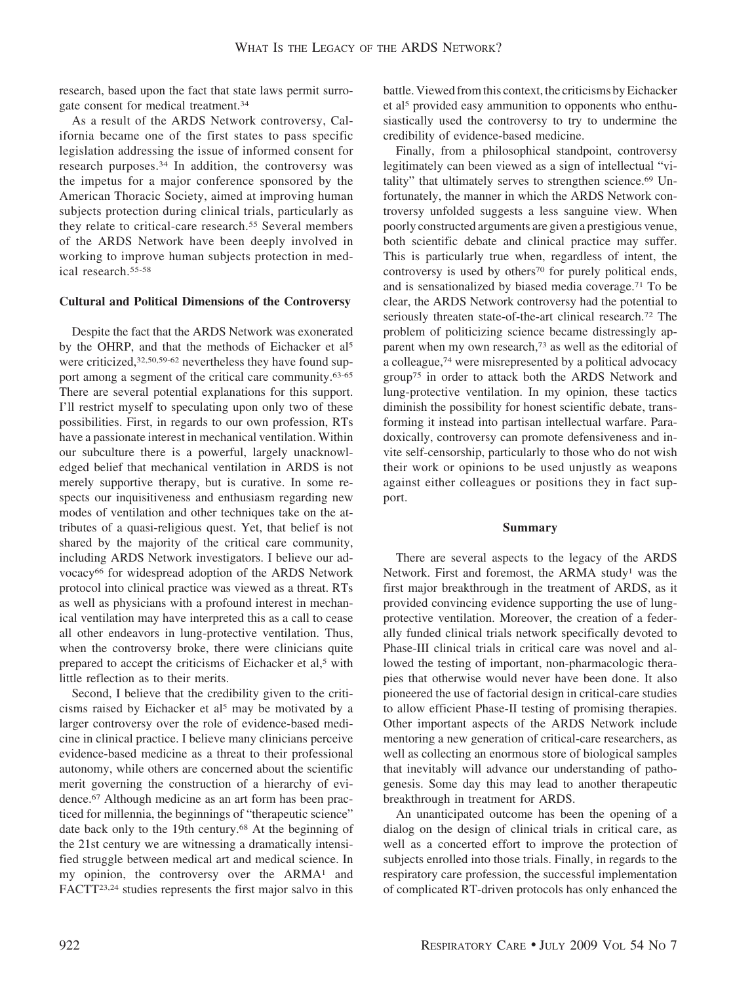research, based upon the fact that state laws permit surrogate consent for medical treatment.34

As a result of the ARDS Network controversy, California became one of the first states to pass specific legislation addressing the issue of informed consent for research purposes.34 In addition, the controversy was the impetus for a major conference sponsored by the American Thoracic Society, aimed at improving human subjects protection during clinical trials, particularly as they relate to critical-care research.<sup>55</sup> Several members of the ARDS Network have been deeply involved in working to improve human subjects protection in medical research.55-58

# **Cultural and Political Dimensions of the Controversy**

Despite the fact that the ARDS Network was exonerated by the OHRP, and that the methods of Eichacker et al<sup>5</sup> were criticized, 32,50,59-62 nevertheless they have found support among a segment of the critical care community.63-65 There are several potential explanations for this support. I'll restrict myself to speculating upon only two of these possibilities. First, in regards to our own profession, RTs have a passionate interest in mechanical ventilation. Within our subculture there is a powerful, largely unacknowledged belief that mechanical ventilation in ARDS is not merely supportive therapy, but is curative. In some respects our inquisitiveness and enthusiasm regarding new modes of ventilation and other techniques take on the attributes of a quasi-religious quest. Yet, that belief is not shared by the majority of the critical care community, including ARDS Network investigators. I believe our advocacy66 for widespread adoption of the ARDS Network protocol into clinical practice was viewed as a threat. RTs as well as physicians with a profound interest in mechanical ventilation may have interpreted this as a call to cease all other endeavors in lung-protective ventilation. Thus, when the controversy broke, there were clinicians quite prepared to accept the criticisms of Eichacker et al,<sup>5</sup> with little reflection as to their merits.

Second, I believe that the credibility given to the criticisms raised by Eichacker et al<sup>5</sup> may be motivated by a larger controversy over the role of evidence-based medicine in clinical practice. I believe many clinicians perceive evidence-based medicine as a threat to their professional autonomy, while others are concerned about the scientific merit governing the construction of a hierarchy of evidence.67 Although medicine as an art form has been practiced for millennia, the beginnings of "therapeutic science" date back only to the 19th century.68 At the beginning of the 21st century we are witnessing a dramatically intensified struggle between medical art and medical science. In my opinion, the controversy over the ARMA1 and FACTT23,24 studies represents the first major salvo in this battle. Viewed from this context, the criticisms by Eichacker et al<sup>5</sup> provided easy ammunition to opponents who enthusiastically used the controversy to try to undermine the credibility of evidence-based medicine.

Finally, from a philosophical standpoint, controversy legitimately can been viewed as a sign of intellectual "vitality" that ultimately serves to strengthen science.<sup>69</sup> Unfortunately, the manner in which the ARDS Network controversy unfolded suggests a less sanguine view. When poorly constructed arguments are given a prestigious venue, both scientific debate and clinical practice may suffer. This is particularly true when, regardless of intent, the controversy is used by others<sup>70</sup> for purely political ends, and is sensationalized by biased media coverage.71 To be clear, the ARDS Network controversy had the potential to seriously threaten state-of-the-art clinical research.72 The problem of politicizing science became distressingly apparent when my own research,73 as well as the editorial of a colleague,74 were misrepresented by a political advocacy group75 in order to attack both the ARDS Network and lung-protective ventilation. In my opinion, these tactics diminish the possibility for honest scientific debate, transforming it instead into partisan intellectual warfare. Paradoxically, controversy can promote defensiveness and invite self-censorship, particularly to those who do not wish their work or opinions to be used unjustly as weapons against either colleagues or positions they in fact support.

# **Summary**

There are several aspects to the legacy of the ARDS Network. First and foremost, the ARMA study<sup>1</sup> was the first major breakthrough in the treatment of ARDS, as it provided convincing evidence supporting the use of lungprotective ventilation. Moreover, the creation of a federally funded clinical trials network specifically devoted to Phase-III clinical trials in critical care was novel and allowed the testing of important, non-pharmacologic therapies that otherwise would never have been done. It also pioneered the use of factorial design in critical-care studies to allow efficient Phase-II testing of promising therapies. Other important aspects of the ARDS Network include mentoring a new generation of critical-care researchers, as well as collecting an enormous store of biological samples that inevitably will advance our understanding of pathogenesis. Some day this may lead to another therapeutic breakthrough in treatment for ARDS.

An unanticipated outcome has been the opening of a dialog on the design of clinical trials in critical care, as well as a concerted effort to improve the protection of subjects enrolled into those trials. Finally, in regards to the respiratory care profession, the successful implementation of complicated RT-driven protocols has only enhanced the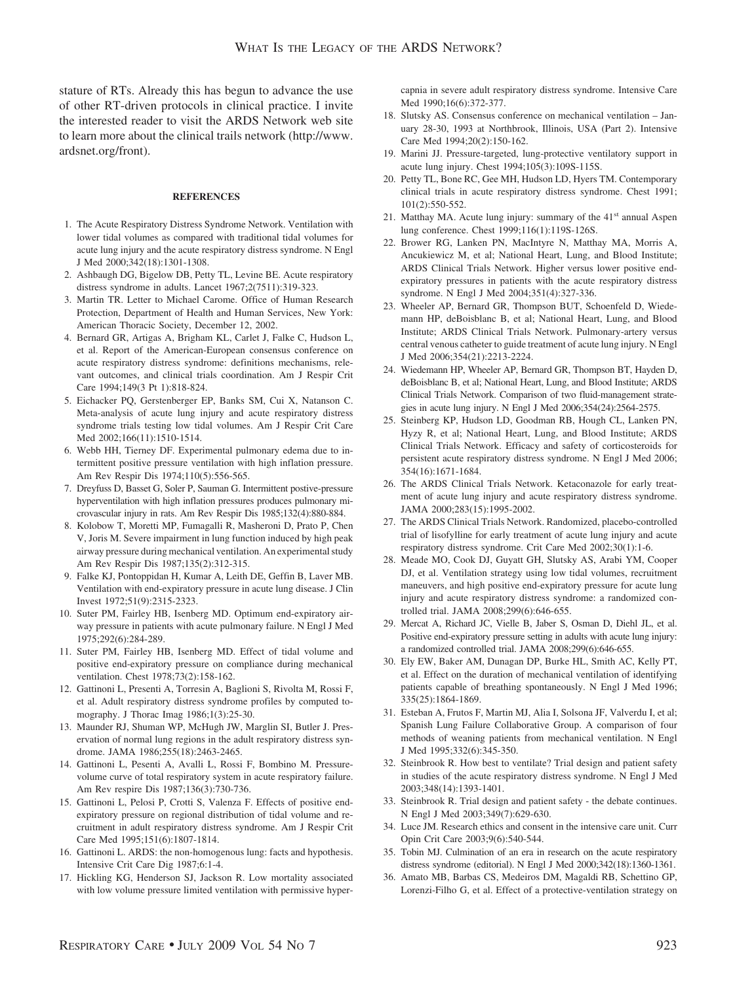stature of RTs. Already this has begun to advance the use of other RT-driven protocols in clinical practice. I invite the interested reader to visit the ARDS Network web site to learn more about the clinical trails network (http://www. ardsnet.org/front).

#### **REFERENCES**

- 1. The Acute Respiratory Distress Syndrome Network. Ventilation with lower tidal volumes as compared with traditional tidal volumes for acute lung injury and the acute respiratory distress syndrome. N Engl J Med 2000;342(18):1301-1308.
- 2. Ashbaugh DG, Bigelow DB, Petty TL, Levine BE. Acute respiratory distress syndrome in adults. Lancet 1967;2(7511):319-323.
- 3. Martin TR. Letter to Michael Carome. Office of Human Research Protection, Department of Health and Human Services, New York: American Thoracic Society, December 12, 2002.
- 4. Bernard GR, Artigas A, Brigham KL, Carlet J, Falke C, Hudson L, et al. Report of the American-European consensus conference on acute respiratory distress syndrome: definitions mechanisms, relevant outcomes, and clinical trials coordination. Am J Respir Crit Care 1994;149(3 Pt 1):818-824.
- 5. Eichacker PQ, Gerstenberger EP, Banks SM, Cui X, Natanson C. Meta-analysis of acute lung injury and acute respiratory distress syndrome trials testing low tidal volumes. Am J Respir Crit Care Med 2002;166(11):1510-1514.
- 6. Webb HH, Tierney DF. Experimental pulmonary edema due to intermittent positive pressure ventilation with high inflation pressure. Am Rev Respir Dis 1974;110(5):556-565.
- 7. Dreyfuss D, Basset G, Soler P, Sauman G. Intermittent postive-pressure hyperventilation with high inflation pressures produces pulmonary microvascular injury in rats. Am Rev Respir Dis 1985;132(4):880-884.
- 8. Kolobow T, Moretti MP, Fumagalli R, Masheroni D, Prato P, Chen V, Joris M. Severe impairment in lung function induced by high peak airway pressure during mechanical ventilation. An experimental study Am Rev Respir Dis 1987;135(2):312-315.
- 9. Falke KJ, Pontoppidan H, Kumar A, Leith DE, Geffin B, Laver MB. Ventilation with end-expiratory pressure in acute lung disease. J Clin Invest 1972;51(9):2315-2323.
- 10. Suter PM, Fairley HB, Isenberg MD. Optimum end-expiratory airway pressure in patients with acute pulmonary failure. N Engl J Med 1975;292(6):284-289.
- 11. Suter PM, Fairley HB, Isenberg MD. Effect of tidal volume and positive end-expiratory pressure on compliance during mechanical ventilation. Chest 1978;73(2):158-162.
- 12. Gattinoni L, Presenti A, Torresin A, Baglioni S, Rivolta M, Rossi F, et al. Adult respiratory distress syndrome profiles by computed tomography. J Thorac Imag 1986;1(3):25-30.
- 13. Maunder RJ, Shuman WP, McHugh JW, Marglin SI, Butler J. Preservation of normal lung regions in the adult respiratory distress syndrome. JAMA 1986;255(18):2463-2465.
- 14. Gattinoni L, Pesenti A, Avalli L, Rossi F, Bombino M. Pressurevolume curve of total respiratory system in acute respiratory failure. Am Rev respire Dis 1987;136(3):730-736.
- 15. Gattinoni L, Pelosi P, Crotti S, Valenza F. Effects of positive endexpiratory pressure on regional distribution of tidal volume and recruitment in adult respiratory distress syndrome. Am J Respir Crit Care Med 1995;151(6):1807-1814.
- 16. Gattinoni L. ARDS: the non-homogenous lung: facts and hypothesis. Intensive Crit Care Dig 1987;6:1-4.
- 17. Hickling KG, Henderson SJ, Jackson R. Low mortality associated with low volume pressure limited ventilation with permissive hyper-

capnia in severe adult respiratory distress syndrome. Intensive Care Med 1990;16(6):372-377.

- 18. Slutsky AS. Consensus conference on mechanical ventilation January 28-30, 1993 at Northbrook, Illinois, USA (Part 2). Intensive Care Med 1994;20(2):150-162.
- 19. Marini JJ. Pressure-targeted, lung-protective ventilatory support in acute lung injury. Chest 1994;105(3):109S-115S.
- 20. Petty TL, Bone RC, Gee MH, Hudson LD, Hyers TM. Contemporary clinical trials in acute respiratory distress syndrome. Chest 1991; 101(2):550-552.
- 21. Matthay MA. Acute lung injury: summary of the  $41<sup>st</sup>$  annual Aspen lung conference. Chest 1999;116(1):119S-126S.
- 22. Brower RG, Lanken PN, MacIntyre N, Matthay MA, Morris A, Ancukiewicz M, et al; National Heart, Lung, and Blood Institute; ARDS Clinical Trials Network. Higher versus lower positive endexpiratory pressures in patients with the acute respiratory distress syndrome. N Engl J Med 2004;351(4):327-336.
- 23. Wheeler AP, Bernard GR, Thompson BUT, Schoenfeld D, Wiedemann HP, deBoisblanc B, et al; National Heart, Lung, and Blood Institute; ARDS Clinical Trials Network. Pulmonary-artery versus central venous catheter to guide treatment of acute lung injury. N Engl J Med 2006;354(21):2213-2224.
- 24. Wiedemann HP, Wheeler AP, Bernard GR, Thompson BT, Hayden D, deBoisblanc B, et al; National Heart, Lung, and Blood Institute; ARDS Clinical Trials Network. Comparison of two fluid-management strategies in acute lung injury. N Engl J Med 2006;354(24):2564-2575.
- 25. Steinberg KP, Hudson LD, Goodman RB, Hough CL, Lanken PN, Hyzy R, et al; National Heart, Lung, and Blood Institute; ARDS Clinical Trials Network. Efficacy and safety of corticosteroids for persistent acute respiratory distress syndrome. N Engl J Med 2006; 354(16):1671-1684.
- 26. The ARDS Clinical Trials Network. Ketaconazole for early treatment of acute lung injury and acute respiratory distress syndrome. JAMA 2000;283(15):1995-2002.
- 27. The ARDS Clinical Trials Network. Randomized, placebo-controlled trial of lisofylline for early treatment of acute lung injury and acute respiratory distress syndrome. Crit Care Med 2002;30(1):1-6.
- 28. Meade MO, Cook DJ, Guyatt GH, Slutsky AS, Arabi YM, Cooper DJ, et al. Ventilation strategy using low tidal volumes, recruitment maneuvers, and high positive end-expiratory pressure for acute lung injury and acute respiratory distress syndrome: a randomized controlled trial. JAMA 2008;299(6):646-655.
- 29. Mercat A, Richard JC, Vielle B, Jaber S, Osman D, Diehl JL, et al. Positive end-expiratory pressure setting in adults with acute lung injury: a randomized controlled trial. JAMA 2008;299(6):646-655.
- 30. Ely EW, Baker AM, Dunagan DP, Burke HL, Smith AC, Kelly PT, et al. Effect on the duration of mechanical ventilation of identifying patients capable of breathing spontaneously. N Engl J Med 1996; 335(25):1864-1869.
- 31. Esteban A, Frutos F, Martin MJ, Alia I, Solsona JF, Valverdu I, et al; Spanish Lung Failure Collaborative Group. A comparison of four methods of weaning patients from mechanical ventilation. N Engl J Med 1995;332(6):345-350.
- 32. Steinbrook R. How best to ventilate? Trial design and patient safety in studies of the acute respiratory distress syndrome. N Engl J Med 2003;348(14):1393-1401.
- 33. Steinbrook R. Trial design and patient safety the debate continues. N Engl J Med 2003;349(7):629-630.
- 34. Luce JM. Research ethics and consent in the intensive care unit. Curr Opin Crit Care 2003;9(6):540-544.
- 35. Tobin MJ. Culmination of an era in research on the acute respiratory distress syndrome (editorial). N Engl J Med 2000;342(18):1360-1361.
- 36. Amato MB, Barbas CS, Medeiros DM, Magaldi RB, Schettino GP, Lorenzi-Filho G, et al. Effect of a protective-ventilation strategy on